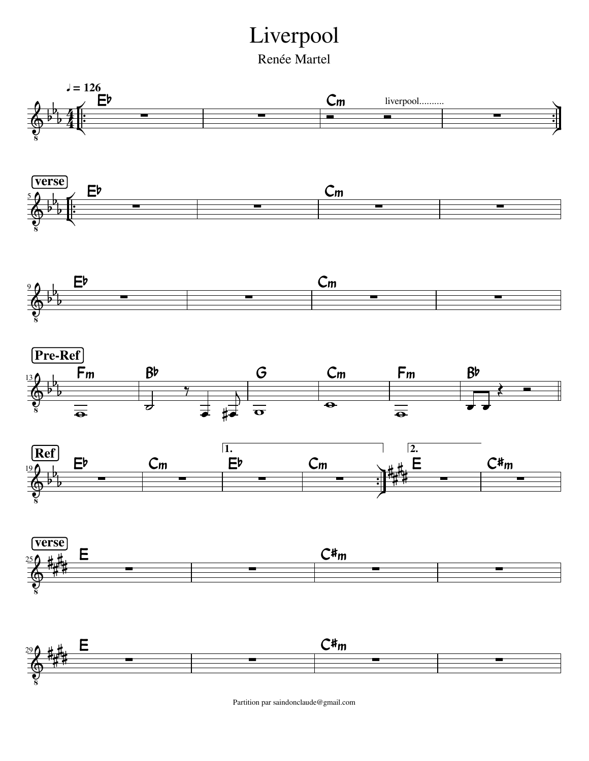## Liverpool

Renée Martel



Partition par saindonclaude@gmail.com